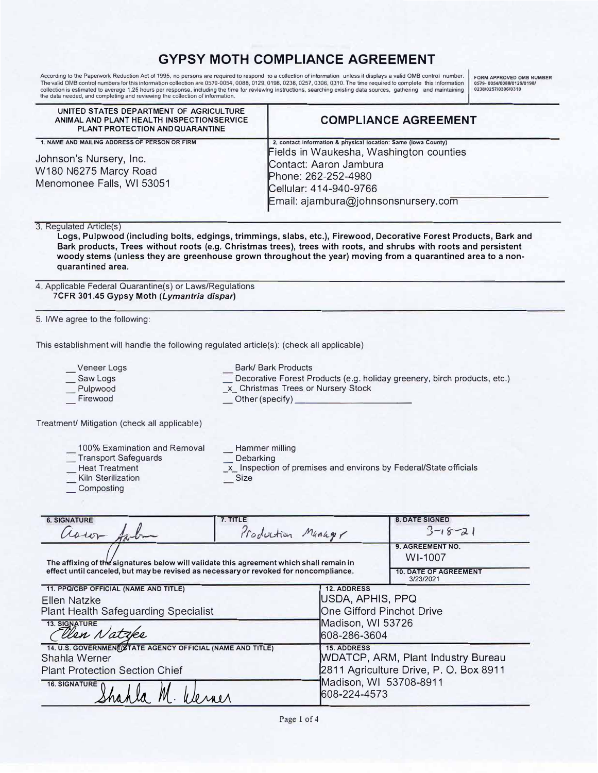# **GYPSY MOTH COMPLIANCE AGREEMENT**

According to the Paperwork Reduction Act of 1995, no persons are required to respond to a collection of information unless it displays a valid OMB control number. FORM APPROVED OMB NUMBER the data needed, and completing and reviewing the collection of information.

| UNITED STATES DEPARTMENT OF AGRICULTURE<br>ANIMAL AND PLANT HEALTH INSPECTION SERVICE<br>PLANT PROTECTION AND QUARANTINE                | <b>COMPLIANCE AGREEMENT</b>                                                                                                                                                                                                                                                                                                                           |
|-----------------------------------------------------------------------------------------------------------------------------------------|-------------------------------------------------------------------------------------------------------------------------------------------------------------------------------------------------------------------------------------------------------------------------------------------------------------------------------------------------------|
| 1. NAME AND MAILING ADDRESS OF PERSON OR FIRM<br>Johnson's Nursery, Inc.<br>W180 N6275 Marcy Road<br>Menomonee Falls, WI 53051          | 2. contact information & physical location: Same (lowa County)<br>Fields in Waukesha, Washington counties<br>Contact: Aaron Jambura<br>Phone: 262-252-4980<br>Cellular: 414-940-9766<br>Email: ajambura@johnsonsnursery.com                                                                                                                           |
| 3. Regulated Article(s)<br>quarantined area.                                                                                            | Logs, Pulpwood (including bolts, edgings, trimmings, slabs, etc.), Firewood, Decorative Forest Products, Bark and<br>Bark products, Trees without roots (e.g. Christmas trees), trees with roots, and shrubs with roots and persistent<br>woody stems (unless they are greenhouse grown throughout the year) moving from a quarantined area to a non- |
| 4. Applicable Federal Quarantine(s) or Laws/Regulations<br>7CFR 301.45 Gypsy Moth (Lymantria dispar)<br>5. I/We agree to the following: |                                                                                                                                                                                                                                                                                                                                                       |
|                                                                                                                                         | This establishment will handle the following regulated article(s): (check all applicable)                                                                                                                                                                                                                                                             |
|                                                                                                                                         |                                                                                                                                                                                                                                                                                                                                                       |
| Veneer Logs<br>Saw Logs<br>Pulpwood<br>Firewood                                                                                         | <b>Bark/ Bark Products</b><br>Decorative Forest Products (e.g. holiday greenery, birch products, etc.)<br>x Christmas Trees or Nursery Stock<br>Other (specify)                                                                                                                                                                                       |
| Treatment/ Mitigation (check all applicable)                                                                                            |                                                                                                                                                                                                                                                                                                                                                       |

| <b>6. SIGNATURE</b><br>assor for                                                                                                                                                | 7. TITLE<br>Production Manager    |                                                                                  | <b>8. DATE SIGNED</b><br>$3 - 18 - 21$    |  |
|---------------------------------------------------------------------------------------------------------------------------------------------------------------------------------|-----------------------------------|----------------------------------------------------------------------------------|-------------------------------------------|--|
| The affixing of the signatures below will validate this agreement which shall remain in<br>effect until canceled, but may be revised as necessary or revoked for noncompliance. |                                   |                                                                                  | 9. AGREEMENT NO.<br>WI-1007               |  |
|                                                                                                                                                                                 |                                   |                                                                                  | <b>10. DATE OF AGREEMENT</b><br>3/23/2021 |  |
| 11. PPQ/CBP OFFICIAL (NAME AND TITLE)                                                                                                                                           |                                   | <b>12. ADDRESS</b>                                                               |                                           |  |
| Ellen Natzke                                                                                                                                                                    |                                   | USDA, APHIS, PPQ                                                                 |                                           |  |
| <b>Plant Health Safeguarding Specialist</b>                                                                                                                                     |                                   | One Gifford Pinchot Drive                                                        |                                           |  |
| 13. SIGNATURE Vatzke                                                                                                                                                            | Madison, WI 53726<br>608-286-3604 |                                                                                  |                                           |  |
| 14. U.S. GOVERNMENT/STATE AGENCY OFFICIAL (NAME AND TITLE)<br>Shahla Werner                                                                                                     |                                   | <b>15. ADDRESS</b><br><b>WDATCP, ARM, Plant Industry Bureau</b>                  |                                           |  |
| <b>Plant Protection Section Chief</b>                                                                                                                                           |                                   | 2811 Agriculture Drive, P. O. Box 8911<br>Madison, WI 53708-8911<br>608-224-4573 |                                           |  |
| 16. SIGNATURE 0                                                                                                                                                                 |                                   |                                                                                  |                                           |  |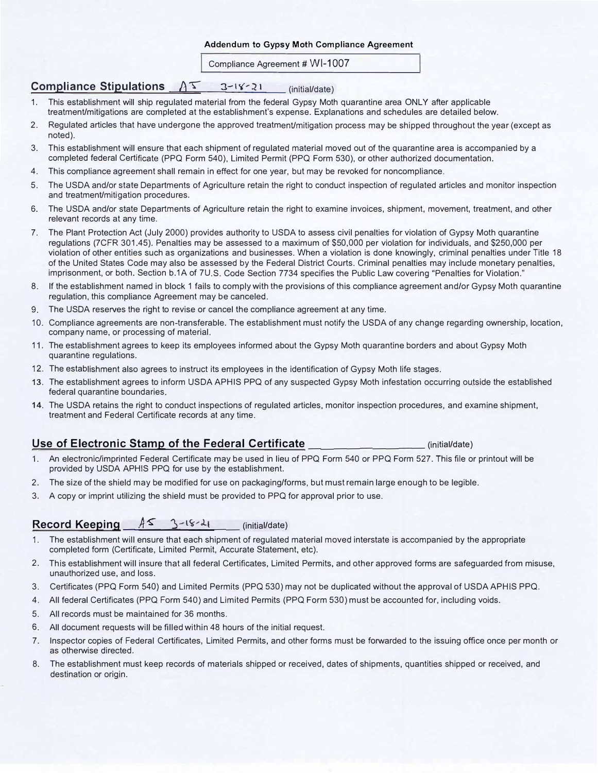#### **Addendum to Gypsy Moth Compliance Agreement**

Compliance Agreement # WI-1007

## **Compliance Stipulations**  $A^T$   $3-i$ <sup>2</sup>  $i$ ,  $(i)$   $(i)$  (initial/date)

- 1. This establishment will ship regulated material from the federal Gypsy Moth quarantine area ONLY after applicable treatment/mitigations are completed at the establishment's expense. Explanations and schedules are detailed below.
- 2. Regulated articles that have undergone the approved treatment/mitigation process may be shipped throughout the year (except as noted).
- 3. This establishment will ensure that each shipment of regulated material moved out of the quarantine area is accompanied by a completed federal Certificate (PPQ Form 540), Limited Permit (PPQ Form 530), or other authorized documentation.
- 4. This compliance agreement shall remain in effect for one year, but may be revoked for noncompliance.
- 5. The USDA and/or state Departments of Agriculture retain the right to conduct inspection of regulated articles and monitor inspection and treatment/mitigation procedures.
- 6. The USDA and/or state Departments of Agriculture retain the right to examine invoices, shipment, movement, treatment, and other relevant records at any time.
- 7. The Plant Protection Act (July 2000) provides authority to USDA to assess civil penalties for violation of Gypsy Moth quarantine regulations (7CFR 301 .45). Penalties may be assessed to a maximum of \$50,000 per violation for individuals, and \$250,000 per violation of other entities such as organizations and businesses. When a violation is done knowingly, criminal penalties under Title 18 of the United States Code may also be assessed by the Federal District Courts. Criminal penalties may include monetary penalties, imprisonment, or both. Section b.1A of 7U.S. Code Section 7734 specifies the Public Law covering "Penalties for Violation."
- 8. If the establishment named in block 1 fails to comply with the provisions of this compliance agreement and/or Gypsy Moth quarantine regulation, this compliance Agreement may be canceled.
- 9. The USDA reserves the right to revise or cancel the compliance agreement at any time.
- 10. Compliance agreements are non-transferable. The establishment must notify the USDA of any change regarding ownership, location, company name, or processing of material.
- 11. The establishment agrees to keep its employees informed about the Gypsy Moth quarantine borders and about Gypsy Moth quarantine regulations.
- 12. The establishment also agrees to instruct its employees in the identification of Gypsy Moth life stages.
- 13. The establishment agrees to inform USDA APHIS PPQ of any suspected Gypsy Moth infestation occurring outside the established federal quarantine boundaries.
- 14. The USDA retains the right to conduct inspections of regulated articles, monitor inspection procedures, and examine shipment, treatment and Federal Certificate records at any time.

### **Use of Electronic Stamp of the Federal Certificate \_\_\_\_\_\_\_\_\_\_\_\_\_\_\_** (initial/date)

- 1. An electronic/imprinted Federal Certificate may be used in lieu of PPQ Form 540 or PPQ Form 527. This file or printout will be provided by USDA APHIS PPQ for use by the establishment.
- 2. The size of the shield may be modified for use on packaging/forms, but must remain large enough to be legible.
- 3. A copy or imprint utilizing the shield must be provided to PPQ for approval prior to use.

## Record Keeping  $A^s$  3-18-21 (initial/date)

- 1. The establishment will ensure that each shipment of regulated material moved interstate is accompanied by the appropriate completed form (Certificate, Limited Permit, Accurate Statement, etc).
- 2. This establishment will insure that all federal Certificates, Limited Permits, and other approved forms are safeguarded from misuse, unauthorized use, and loss.
- 3. Certificates (PPQ Form 540) and Limited Permits (PPQ 530) may not be duplicated without the approval of USDA APHIS PPQ.
- 4. All federal Certificates (PPQ Form 540) and Limited Permits (PPQ Form 530) must be accounted for, including voids.
- 5. All records must be maintained for 36 months.
- 6. All document requests will be filled within 48 hours of the initial request.
- 7. Inspector copies of Federal Certificates, Limited Permits, and other forms must be forwarded to the issuing office once per month or as otherwise directed.
- 8. The establishment must keep records of materials shipped or received, dates of shipments, quantities shipped or received, and destination or origin.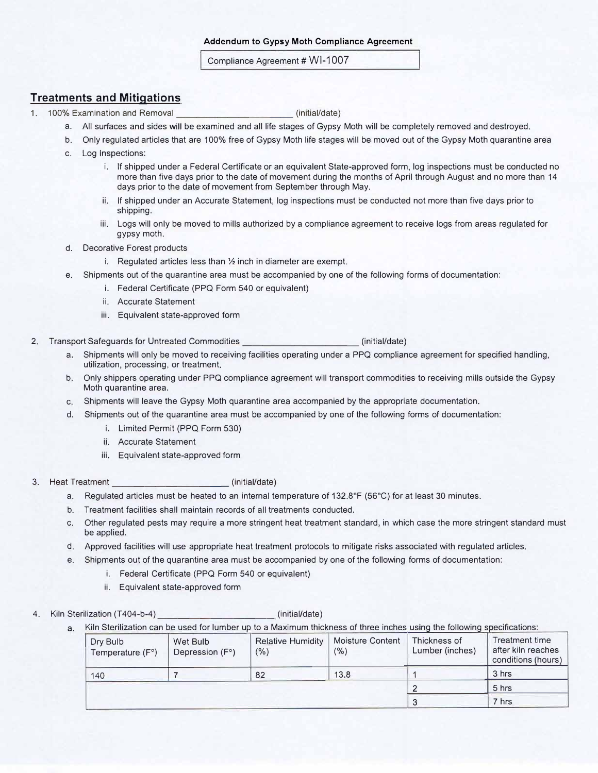Compliance Agreement # WI-1007

### **Treatments and Mitigations**

1. 100% Examination and Removal \_\_\_\_\_\_\_\_\_\_\_ (initial/date)

- a. All surfaces and sides **will** be examined and all life stages of Gypsy Moth will be completely removed and destroyed.
- b. Only regulated articles that are 100% free of Gypsy Moth life stages will be moved out of the Gypsy Moth quarantine area
- c. Log Inspections:
	- i. If shipped under a Federal Certificate or an equivalent State-approved form, log inspections must be conducted no more than five days prior to the date of movement during the months of April through August and no more than 14 days prior to the date of movement from September through May.
	- ii. If shipped under an Accurate Statement, log inspections must be conducted not more than five days prior to shipping.
	- iii. Logs will only be moved to mills authorized by a compliance agreement to receive logs from areas regulated for gypsy moth.
- d. Decorative Forest products
	- i. Regulated articles less than ½ inch in diameter are exempt.
- e. Shipments out of the quarantine area must be accompanied by one of the following forms of documentation:
	- i. Federal Certificate (PPQ Form 540 or equivalent)
	- ii. Accurate Statement
	- iii. Equivalent state-approved form
- 2. Transport Safeguards for Untreated Commodities **and Commodities** (initial/date)
	- a. Shipments will only be moved to receiving facilities operating under a PPQ compliance agreement for specified handling, utilization, processing, or treatment.
	- b. Only shippers operating under PPQ compliance agreement will transport commodities to receiving mills outside the Gypsy Moth quarantine area.
	- c. Shipments will leave the Gypsy Moth quarantine area accompanied by the appropriate documentation.
	- d. Shipments out of the quarantine area must be accompanied by one of the following forms of documentation:
		- i. Limited Permit (PPQ Form 530)
		- ii. Accurate Statement
		- iii. Equivalent state-approved form
- 3. Heat Treatment (initial/date)
	- a. Regulated articles must be heated to an internal temperature of 132.8°F (56°C) for at least 30 minutes.
	- b. Treatment facilities shall maintain records of all treatments conducted.
	- c. Other regulated pests may require a more stringent heat treatment standard, in which case the more stringent standard must be applied.
	- d. Approved facilities will use appropriate heat treatment protocols to mitigate risks associated with regulated articles.
	- e. Shipments out of the quarantine area must be accompanied by one of the following forms of documentation:
		- i. Federal Certificate (PPQ Form 540 or equivalent)
		- ii. Equivalent state-approved form
- 4. Kiln Sterilization (T404-b-4) \_\_\_\_\_\_\_\_\_\_\_ (initial/date)

a. Kiln Sterilization can be used for lumber up to a Maximum thickness of three inches using the following specifications:

| Dry Bulb<br>Temperature $(F^{\circ})$ | Wet Bulb<br>Depression (F°) | <b>Relative Humidity</b><br>$(\% )$ | <b>Moisture Content</b><br>(%) | Thickness of<br>Lumber (inches) | Treatment time<br>after kiln reaches<br>conditions (hours) |
|---------------------------------------|-----------------------------|-------------------------------------|--------------------------------|---------------------------------|------------------------------------------------------------|
| 140                                   |                             | 82                                  | 13.8                           |                                 | 3 hrs                                                      |
|                                       |                             |                                     |                                |                                 | 5 hrs                                                      |
|                                       |                             |                                     |                                |                                 | 7 hrs                                                      |